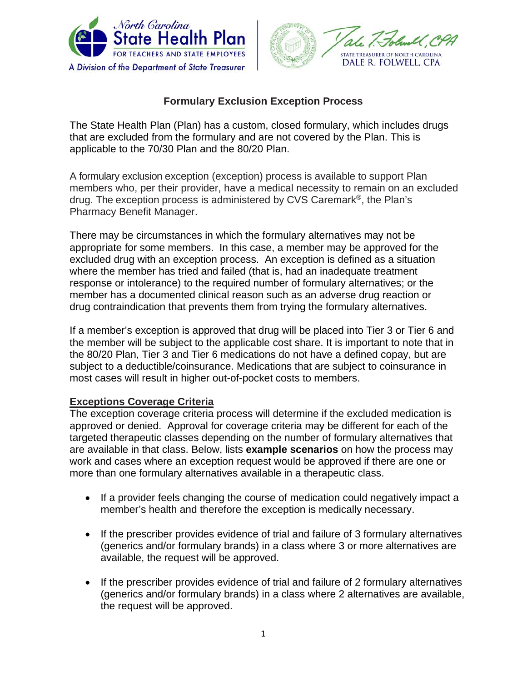



# **Formulary Exclusion Exception Process**

The State Health Plan (Plan) has a custom, closed formulary, which includes drugs that are excluded from the formulary and are not covered by the Plan. This is applicable to the 70/30 Plan and the 80/20 Plan.

A formulary exclusion exception (exception) process is available to support Plan members who, per their provider, have a medical necessity to remain on an excluded drug. The exception process is administered by CVS Caremark®, the Plan's Pharmacy Benefit Manager.

There may be circumstances in which the formulary alternatives may not be appropriate for some members. In this case, a member may be approved for the excluded drug with an exception process. An exception is defined as a situation where the member has tried and failed (that is, had an inadequate treatment response or intolerance) to the required number of formulary alternatives; or the member has a documented clinical reason such as an adverse drug reaction or drug contraindication that prevents them from trying the formulary alternatives.

If a member's exception is approved that drug will be placed into Tier 3 or Tier 6 and the member will be subject to the applicable cost share. It is important to note that in the 80/20 Plan, Tier 3 and Tier 6 medications do not have a defined copay, but are subject to a deductible/coinsurance. Medications that are subject to coinsurance in most cases will result in higher out-of-pocket costs to members.

### **Exceptions Coverage Criteria**

The exception coverage criteria process will determine if the excluded medication is approved or denied. Approval for coverage criteria may be different for each of the targeted therapeutic classes depending on the number of formulary alternatives that are available in that class. Below, lists **example scenarios** on how the process may work and cases where an exception request would be approved if there are one or more than one formulary alternatives available in a therapeutic class.

- If a provider feels changing the course of medication could negatively impact a member's health and therefore the exception is medically necessary.
- If the prescriber provides evidence of trial and failure of 3 formulary alternatives (generics and/or formulary brands) in a class where 3 or more alternatives are available, the request will be approved.
- If the prescriber provides evidence of trial and failure of 2 formulary alternatives (generics and/or formulary brands) in a class where 2 alternatives are available, the request will be approved.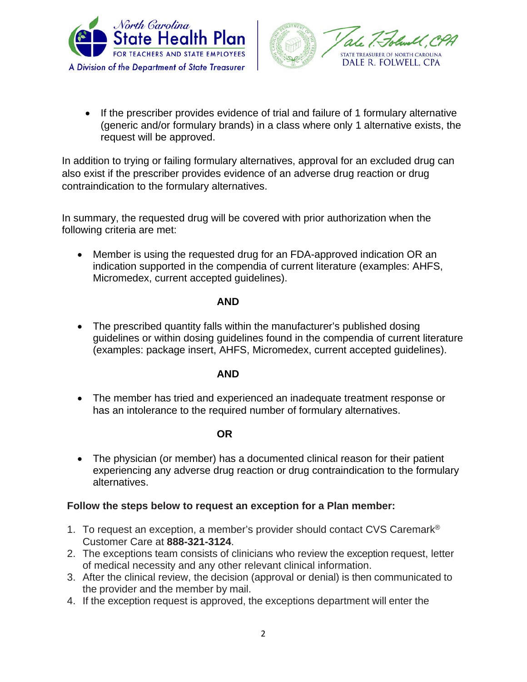



• If the prescriber provides evidence of trial and failure of 1 formulary alternative (generic and/or formulary brands) in a class where only 1 alternative exists, the request will be approved.

In addition to trying or failing formulary alternatives, approval for an excluded drug can also exist if the prescriber provides evidence of an adverse drug reaction or drug contraindication to the formulary alternatives.

In summary, the requested drug will be covered with prior authorization when the following criteria are met:

• Member is using the requested drug for an FDA-approved indication OR an indication supported in the compendia of current literature (examples: AHFS, Micromedex, current accepted guidelines).

#### **AND**

• The prescribed quantity falls within the manufacturer's published dosing guidelines or within dosing guidelines found in the compendia of current literature (examples: package insert, AHFS, Micromedex, current accepted guidelines).

### **AND**

• The member has tried and experienced an inadequate treatment response or has an intolerance to the required number of formulary alternatives.

### **OR**

• The physician (or member) has a documented clinical reason for their patient experiencing any adverse drug reaction or drug contraindication to the formulary alternatives.

### **Follow the steps below to request an exception for a Plan member:**

- 1. To request an exception, a member's provider should contact CVS Caremark<sup>®</sup> Customer Care at **888-321-3124**.
- 2. The exceptions team consists of clinicians who review the exception request, letter of medical necessity and any other relevant clinical information.
- 3. After the clinical review, the decision (approval or denial) is then communicated to the provider and the member by mail.
- 4. If the exception request is approved, the exceptions department will enter the